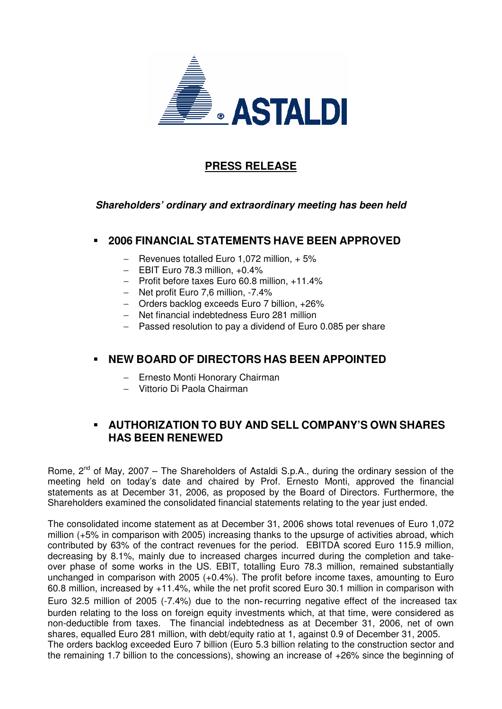

# **PRESS RELEASE**

#### **Shareholders' ordinary and extraordinary meeting has been held**

#### **2006 FINANCIAL STATEMENTS HAVE BEEN APPROVED**

- − Revenues totalled Euro 1,072 million, + 5%
- − EBIT Euro 78.3 million, +0.4%
- − Profit before taxes Euro 60.8 million, +11.4%
- − Net profit Euro 7,6 million, -7.4%
- − Orders backlog exceeds Euro 7 billion, +26%
- − Net financial indebtedness Euro 281 million
- − Passed resolution to pay a dividend of Euro 0.085 per share

### **NEW BOARD OF DIRECTORS HAS BEEN APPOINTED**

- − Ernesto Monti Honorary Chairman
- − Vittorio Di Paola Chairman

## **AUTHORIZATION TO BUY AND SELL COMPANY'S OWN SHARES HAS BEEN RENEWED**

Rome,  $2^{nd}$  of May, 2007 – The Shareholders of Astaldi S.p.A., during the ordinary session of the meeting held on today's date and chaired by Prof. Ernesto Monti, approved the financial statements as at December 31, 2006, as proposed by the Board of Directors. Furthermore, the Shareholders examined the consolidated financial statements relating to the year just ended.

The consolidated income statement as at December 31, 2006 shows total revenues of Euro 1,072 million (+5% in comparison with 2005) increasing thanks to the upsurge of activities abroad, which contributed by 63% of the contract revenues for the period. EBITDA scored Euro 115.9 million, decreasing by 8.1%, mainly due to increased charges incurred during the completion and takeover phase of some works in the US. EBIT, totalling Euro 78.3 million, remained substantially unchanged in comparison with 2005 (+0.4%). The profit before income taxes, amounting to Euro 60.8 million, increased by +11.4%, while the net profit scored Euro 30.1 million in comparison with Euro 32.5 million of 2005 (-7.4%) due to the non- recurring negative effect of the increased tax burden relating to the loss on foreign equity investments which, at that time, were considered as non-deductible from taxes. The financial indebtedness as at December 31, 2006, net of own shares, equalled Euro 281 million, with debt/equity ratio at 1, against 0.9 of December 31, 2005. The orders backlog exceeded Euro 7 billion (Euro 5.3 billion relating to the construction sector and the remaining 1.7 billion to the concessions), showing an increase of +26% since the beginning of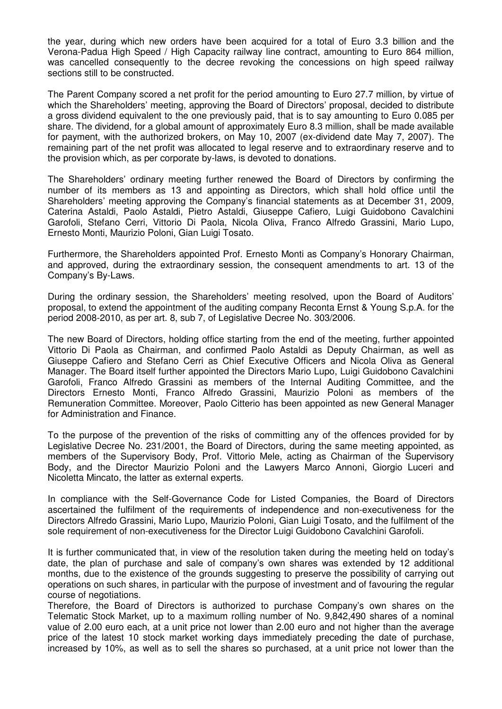the year, during which new orders have been acquired for a total of Euro 3.3 billion and the Verona-Padua High Speed / High Capacity railway line contract, amounting to Euro 864 million, was cancelled consequently to the decree revoking the concessions on high speed railway sections still to be constructed.

The Parent Company scored a net profit for the period amounting to Euro 27.7 million, by virtue of which the Shareholders' meeting, approving the Board of Directors' proposal, decided to distribute a gross dividend equivalent to the one previously paid, that is to say amounting to Euro 0.085 per share. The dividend, for a global amount of approximately Euro 8.3 million, shall be made available for payment, with the authorized brokers, on May 10, 2007 (ex-dividend date May 7, 2007). The remaining part of the net profit was allocated to legal reserve and to extraordinary reserve and to the provision which, as per corporate by-laws, is devoted to donations.

The Shareholders' ordinary meeting further renewed the Board of Directors by confirming the number of its members as 13 and appointing as Directors, which shall hold office until the Shareholders' meeting approving the Company's financial statements as at December 31, 2009, Caterina Astaldi, Paolo Astaldi, Pietro Astaldi, Giuseppe Cafiero, Luigi Guidobono Cavalchini Garofoli, Stefano Cerri, Vittorio Di Paola, Nicola Oliva, Franco Alfredo Grassini, Mario Lupo, Ernesto Monti, Maurizio Poloni, Gian Luigi Tosato.

Furthermore, the Shareholders appointed Prof. Ernesto Monti as Company's Honorary Chairman, and approved, during the extraordinary session, the consequent amendments to art. 13 of the Company's By-Laws.

During the ordinary session, the Shareholders' meeting resolved, upon the Board of Auditors' proposal, to extend the appointment of the auditing company Reconta Ernst & Young S.p.A. for the period 2008-2010, as per art. 8, sub 7, of Legislative Decree No. 303/2006.

The new Board of Directors, holding office starting from the end of the meeting, further appointed Vittorio Di Paola as Chairman, and confirmed Paolo Astaldi as Deputy Chairman, as well as Giuseppe Cafiero and Stefano Cerri as Chief Executive Officers and Nicola Oliva as General Manager. The Board itself further appointed the Directors Mario Lupo, Luigi Guidobono Cavalchini Garofoli, Franco Alfredo Grassini as members of the Internal Auditing Committee, and the Directors Ernesto Monti, Franco Alfredo Grassini, Maurizio Poloni as members of the Remuneration Committee. Moreover, Paolo Citterio has been appointed as new General Manager for Administration and Finance.

To the purpose of the prevention of the risks of committing any of the offences provided for by Legislative Decree No. 231/2001, the Board of Directors, during the same meeting appointed, as members of the Supervisory Body, Prof. Vittorio Mele, acting as Chairman of the Supervisory Body, and the Director Maurizio Poloni and the Lawyers Marco Annoni, Giorgio Luceri and Nicoletta Mincato, the latter as external experts.

In compliance with the Self-Governance Code for Listed Companies, the Board of Directors ascertained the fulfilment of the requirements of independence and non-executiveness for the Directors Alfredo Grassini, Mario Lupo, Maurizio Poloni, Gian Luigi Tosato, and the fulfilment of the sole requirement of non-executiveness for the Director Luigi Guidobono Cavalchini Garofoli.

It is further communicated that, in view of the resolution taken during the meeting held on today's date, the plan of purchase and sale of company's own shares was extended by 12 additional months, due to the existence of the grounds suggesting to preserve the possibility of carrying out operations on such shares, in particular with the purpose of investment and of favouring the regular course of negotiations.

Therefore, the Board of Directors is authorized to purchase Company's own shares on the Telematic Stock Market, up to a maximum rolling number of No. 9,842,490 shares of a nominal value of 2.00 euro each, at a unit price not lower than 2.00 euro and not higher than the average price of the latest 10 stock market working days immediately preceding the date of purchase, increased by 10%, as well as to sell the shares so purchased, at a unit price not lower than the